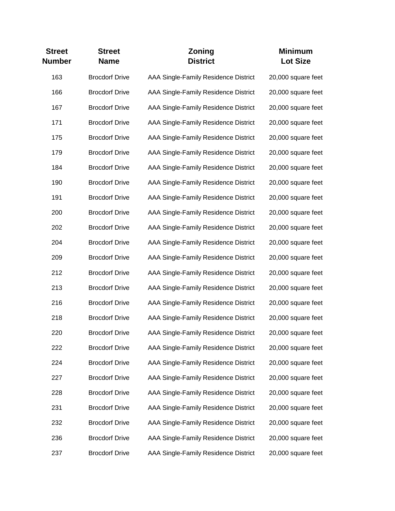| <b>Street</b><br><b>Number</b> | <b>Street</b><br><b>Name</b> | <b>Zoning</b><br><b>District</b>     | <b>Minimum</b><br><b>Lot Size</b> |
|--------------------------------|------------------------------|--------------------------------------|-----------------------------------|
| 163                            | <b>Brocdorf Drive</b>        | AAA Single-Family Residence District | 20,000 square feet                |
| 166                            | <b>Brocdorf Drive</b>        | AAA Single-Family Residence District | 20,000 square feet                |
| 167                            | <b>Brocdorf Drive</b>        | AAA Single-Family Residence District | 20,000 square feet                |
| 171                            | <b>Brocdorf Drive</b>        | AAA Single-Family Residence District | 20,000 square feet                |
| 175                            | <b>Brocdorf Drive</b>        | AAA Single-Family Residence District | 20,000 square feet                |
| 179                            | <b>Brocdorf Drive</b>        | AAA Single-Family Residence District | 20,000 square feet                |
| 184                            | <b>Brocdorf Drive</b>        | AAA Single-Family Residence District | 20,000 square feet                |
| 190                            | <b>Brocdorf Drive</b>        | AAA Single-Family Residence District | 20,000 square feet                |
| 191                            | <b>Brocdorf Drive</b>        | AAA Single-Family Residence District | 20,000 square feet                |
| 200                            | <b>Brocdorf Drive</b>        | AAA Single-Family Residence District | 20,000 square feet                |
| 202                            | <b>Brocdorf Drive</b>        | AAA Single-Family Residence District | 20,000 square feet                |
| 204                            | <b>Brocdorf Drive</b>        | AAA Single-Family Residence District | 20,000 square feet                |
| 209                            | <b>Brocdorf Drive</b>        | AAA Single-Family Residence District | 20,000 square feet                |
| 212                            | <b>Brocdorf Drive</b>        | AAA Single-Family Residence District | 20,000 square feet                |
| 213                            | <b>Brocdorf Drive</b>        | AAA Single-Family Residence District | 20,000 square feet                |
| 216                            | <b>Brocdorf Drive</b>        | AAA Single-Family Residence District | 20,000 square feet                |
| 218                            | <b>Brocdorf Drive</b>        | AAA Single-Family Residence District | 20,000 square feet                |
| 220                            | <b>Brocdorf Drive</b>        | AAA Single-Family Residence District | 20,000 square feet                |
| 222                            | <b>Brocdorf Drive</b>        | AAA Single-Family Residence District | 20,000 square feet                |
| 224                            | <b>Brocdorf Drive</b>        | AAA Single-Family Residence District | 20,000 square feet                |
| 227                            | <b>Brocdorf Drive</b>        | AAA Single-Family Residence District | 20,000 square feet                |
| 228                            | <b>Brocdorf Drive</b>        | AAA Single-Family Residence District | 20,000 square feet                |
| 231                            | <b>Brocdorf Drive</b>        | AAA Single-Family Residence District | 20,000 square feet                |
| 232                            | <b>Brocdorf Drive</b>        | AAA Single-Family Residence District | 20,000 square feet                |
| 236                            | <b>Brocdorf Drive</b>        | AAA Single-Family Residence District | 20,000 square feet                |
| 237                            | <b>Brocdorf Drive</b>        | AAA Single-Family Residence District | 20,000 square feet                |